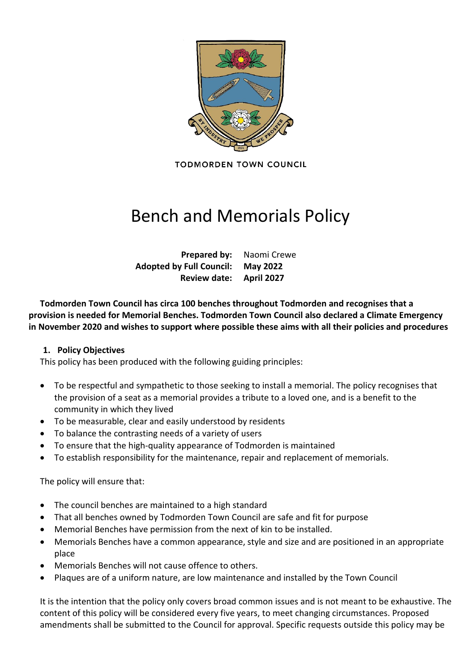

**TODMORDEN TOWN COUNCIL** 

# Bench and Memorials Policy

**Prepared by:** Naomi Crewe **Adopted by Full Council: May 2022 Review date: April 2027**

**Todmorden Town Council has circa 100 benches throughout Todmorden and recognises that a provision is needed for Memorial Benches. Todmorden Town Council also declared a Climate Emergency in November 2020 and wishes to support where possible these aims with all their policies and procedures**

#### **1. Policy Objectives**

This policy has been produced with the following guiding principles:

- To be respectful and sympathetic to those seeking to install a memorial. The policy recognises that the provision of a seat as a memorial provides a tribute to a loved one, and is a benefit to the community in which they lived
- To be measurable, clear and easily understood by residents
- To balance the contrasting needs of a variety of users
- To ensure that the high-quality appearance of Todmorden is maintained
- To establish responsibility for the maintenance, repair and replacement of memorials.

The policy will ensure that:

- The council benches are maintained to a high standard
- That all benches owned by Todmorden Town Council are safe and fit for purpose
- Memorial Benches have permission from the next of kin to be installed.
- Memorials Benches have a common appearance, style and size and are positioned in an appropriate place
- Memorials Benches will not cause offence to others.
- Plaques are of a uniform nature, are low maintenance and installed by the Town Council

It is the intention that the policy only covers broad common issues and is not meant to be exhaustive. The content of this policy will be considered every five years, to meet changing circumstances. Proposed amendments shall be submitted to the Council for approval. Specific requests outside this policy may be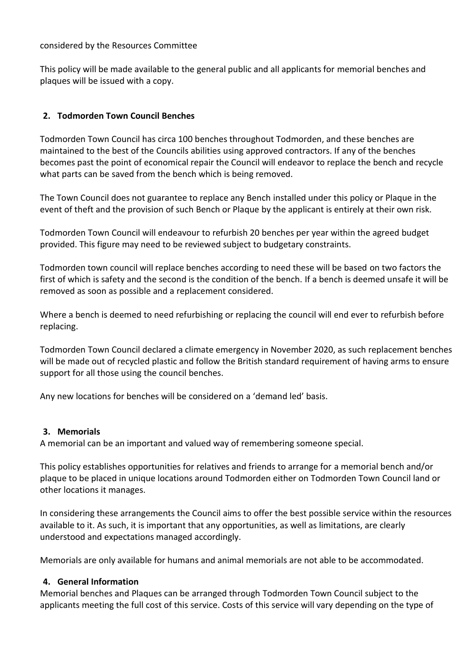#### considered by the Resources Committee

This policy will be made available to the general public and all applicants for memorial benches and plaques will be issued with a copy.

# **2. Todmorden Town Council Benches**

Todmorden Town Council has circa 100 benches throughout Todmorden, and these benches are maintained to the best of the Councils abilities using approved contractors. If any of the benches becomes past the point of economical repair the Council will endeavor to replace the bench and recycle what parts can be saved from the bench which is being removed.

The Town Council does not guarantee to replace any Bench installed under this policy or Plaque in the event of theft and the provision of such Bench or Plaque by the applicant is entirely at their own risk.

Todmorden Town Council will endeavour to refurbish 20 benches per year within the agreed budget provided. This figure may need to be reviewed subject to budgetary constraints.

Todmorden town council will replace benches according to need these will be based on two factors the first of which is safety and the second is the condition of the bench. If a bench is deemed unsafe it will be removed as soon as possible and a replacement considered.

Where a bench is deemed to need refurbishing or replacing the council will end ever to refurbish before replacing.

Todmorden Town Council declared a climate emergency in November 2020, as such replacement benches will be made out of recycled plastic and follow the British standard requirement of having arms to ensure support for all those using the council benches.

Any new locations for benches will be considered on a 'demand led' basis.

# **3. Memorials**

A memorial can be an important and valued way of remembering someone special.

This policy establishes opportunities for relatives and friends to arrange for a memorial bench and/or plaque to be placed in unique locations around Todmorden either on Todmorden Town Council land or other locations it manages.

In considering these arrangements the Council aims to offer the best possible service within the resources available to it. As such, it is important that any opportunities, as well as limitations, are clearly understood and expectations managed accordingly.

Memorials are only available for humans and animal memorials are not able to be accommodated.

# **4. General Information**

Memorial benches and Plaques can be arranged through Todmorden Town Council subject to the applicants meeting the full cost of this service. Costs of this service will vary depending on the type of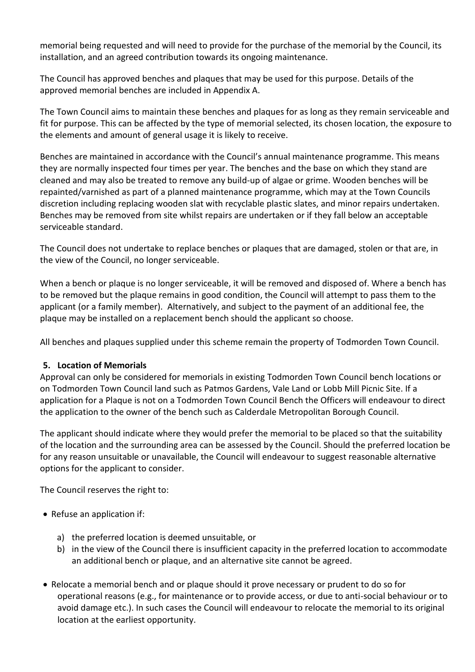memorial being requested and will need to provide for the purchase of the memorial by the Council, its installation, and an agreed contribution towards its ongoing maintenance.

The Council has approved benches and plaques that may be used for this purpose. Details of the approved memorial benches are included in Appendix A.

The Town Council aims to maintain these benches and plaques for as long as they remain serviceable and fit for purpose. This can be affected by the type of memorial selected, its chosen location, the exposure to the elements and amount of general usage it is likely to receive.

Benches are maintained in accordance with the Council's annual maintenance programme. This means they are normally inspected four times per year. The benches and the base on which they stand are cleaned and may also be treated to remove any build-up of algae or grime. Wooden benches will be repainted/varnished as part of a planned maintenance programme, which may at the Town Councils discretion including replacing wooden slat with recyclable plastic slates, and minor repairs undertaken. Benches may be removed from site whilst repairs are undertaken or if they fall below an acceptable serviceable standard.

The Council does not undertake to replace benches or plaques that are damaged, stolen or that are, in the view of the Council, no longer serviceable.

When a bench or plaque is no longer serviceable, it will be removed and disposed of. Where a bench has to be removed but the plaque remains in good condition, the Council will attempt to pass them to the applicant (or a family member). Alternatively, and subject to the payment of an additional fee, the plaque may be installed on a replacement bench should the applicant so choose.

All benches and plaques supplied under this scheme remain the property of Todmorden Town Council.

# **5. Location of Memorials**

Approval can only be considered for memorials in existing Todmorden Town Council bench locations or on Todmorden Town Council land such as Patmos Gardens, Vale Land or Lobb Mill Picnic Site. If a application for a Plaque is not on a Todmorden Town Council Bench the Officers will endeavour to direct the application to the owner of the bench such as Calderdale Metropolitan Borough Council.

The applicant should indicate where they would prefer the memorial to be placed so that the suitability of the location and the surrounding area can be assessed by the Council. Should the preferred location be for any reason unsuitable or unavailable, the Council will endeavour to suggest reasonable alternative options for the applicant to consider.

The Council reserves the right to:

- Refuse an application if:
	- a) the preferred location is deemed unsuitable, or
	- b) in the view of the Council there is insufficient capacity in the preferred location to accommodate an additional bench or plaque, and an alternative site cannot be agreed.
- Relocate a memorial bench and or plaque should it prove necessary or prudent to do so for operational reasons (e.g., for maintenance or to provide access, or due to anti-social behaviour or to avoid damage etc.). In such cases the Council will endeavour to relocate the memorial to its original location at the earliest opportunity.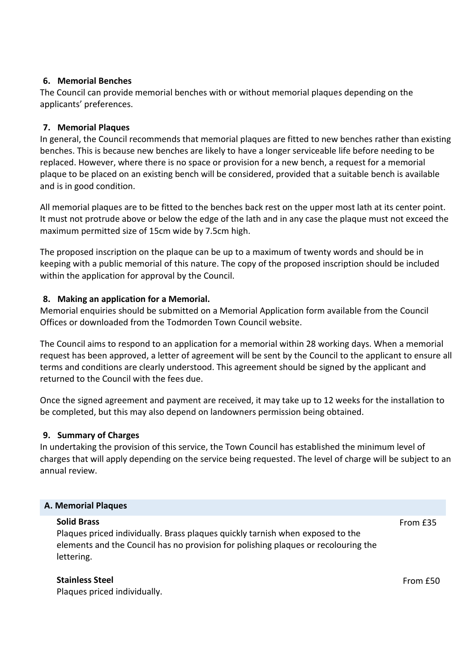#### **6. Memorial Benches**

The Council can provide memorial benches with or without memorial plaques depending on the applicants' preferences.

# **7. Memorial Plaques**

In general, the Council recommends that memorial plaques are fitted to new benches rather than existing benches. This is because new benches are likely to have a longer serviceable life before needing to be replaced. However, where there is no space or provision for a new bench, a request for a memorial plaque to be placed on an existing bench will be considered, provided that a suitable bench is available and is in good condition.

All memorial plaques are to be fitted to the benches back rest on the upper most lath at its center point. It must not protrude above or below the edge of the lath and in any case the plaque must not exceed the maximum permitted size of 15cm wide by 7.5cm high.

The proposed inscription on the plaque can be up to a maximum of twenty words and should be in keeping with a public memorial of this nature. The copy of the proposed inscription should be included within the application for approval by the Council.

# **8. Making an application for a Memorial.**

Memorial enquiries should be submitted on a Memorial Application form available from the Council Offices or downloaded from the Todmorden Town Council website.

The Council aims to respond to an application for a memorial within 28 working days. When a memorial request has been approved, a letter of agreement will be sent by the Council to the applicant to ensure all terms and conditions are clearly understood. This agreement should be signed by the applicant and returned to the Council with the fees due.

Once the signed agreement and payment are received, it may take up to 12 weeks for the installation to be completed, but this may also depend on landowners permission being obtained.

# **9. Summary of Charges**

In undertaking the provision of this service, the Town Council has established the minimum level of charges that will apply depending on the service being requested. The level of charge will be subject to an annual review.

#### **A. Memorial Plaques**

#### **Solid Brass**

Plaques priced individually. Brass plaques quickly tarnish when exposed to the elements and the Council has no provision for polishing plaques or recolouring the lettering.

From £35

# **Stainless Steel**

Plaques priced individually.

From £50